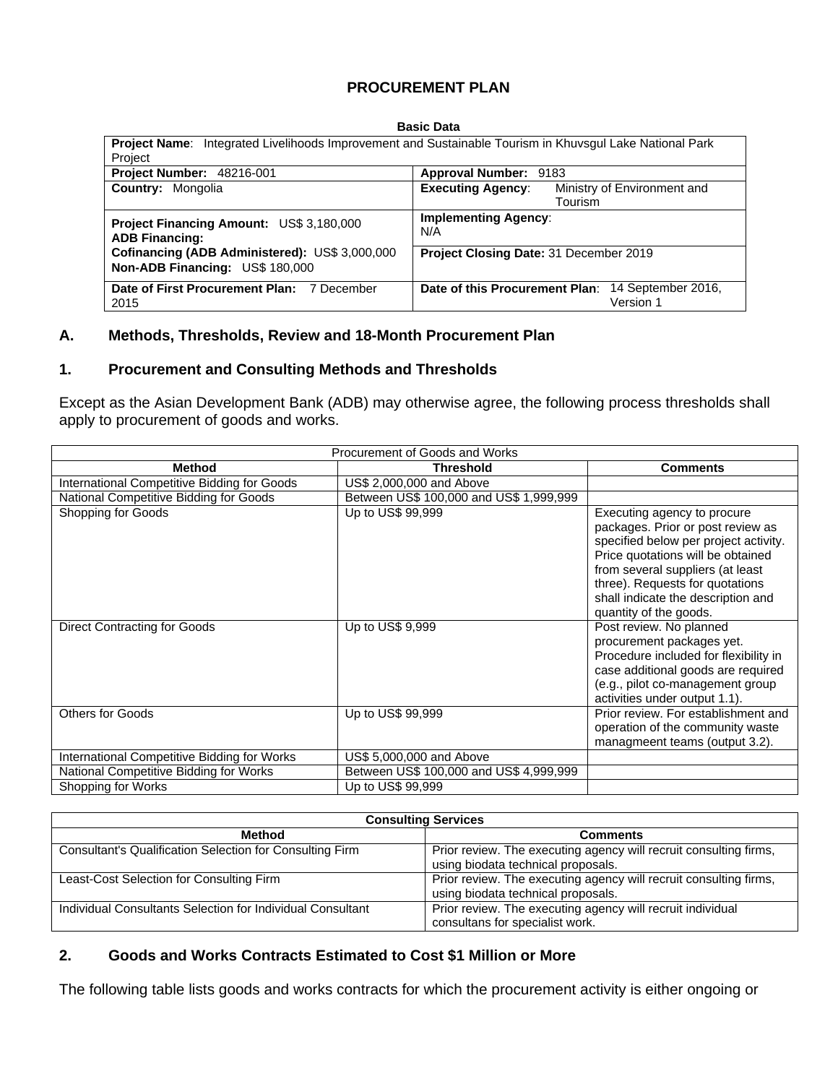## **PROCUREMENT PLAN**

#### **Basic Data**

| Integrated Livelihoods Improvement and Sustainable Tourism in Khuvsgul Lake National Park<br><b>Project Name:</b><br>Project |                                                                       |  |  |  |  |
|------------------------------------------------------------------------------------------------------------------------------|-----------------------------------------------------------------------|--|--|--|--|
| Project Number: 48216-001<br>Approval Number: 9183                                                                           |                                                                       |  |  |  |  |
| <b>Executing Agency:</b><br><b>Country: Mongolia</b>                                                                         | Ministry of Environment and<br>Tourism                                |  |  |  |  |
| <b>Project Financing Amount: US\$ 3,180,000</b><br>N/A<br><b>ADB Financing:</b>                                              | <b>Implementing Agency:</b><br>Project Closing Date: 31 December 2019 |  |  |  |  |
| Cofinancing (ADB Administered): US\$ 3,000,000<br>Non-ADB Financing: US\$ 180,000                                            |                                                                       |  |  |  |  |
| Date of First Procurement Plan: 7 December<br>2015                                                                           | Date of this Procurement Plan: 14 September 2016,<br>Version 1        |  |  |  |  |

#### **A. Methods, Thresholds, Review and 18-Month Procurement Plan**

#### **1. Procurement and Consulting Methods and Thresholds**

Except as the Asian Development Bank (ADB) may otherwise agree, the following process thresholds shall apply to procurement of goods and works.

| Procurement of Goods and Works              |                                         |                                                                                                                                                                                                                                                                                       |  |  |  |  |  |  |  |  |
|---------------------------------------------|-----------------------------------------|---------------------------------------------------------------------------------------------------------------------------------------------------------------------------------------------------------------------------------------------------------------------------------------|--|--|--|--|--|--|--|--|
| <b>Method</b>                               | <b>Threshold</b>                        | <b>Comments</b>                                                                                                                                                                                                                                                                       |  |  |  |  |  |  |  |  |
| International Competitive Bidding for Goods | US\$ 2,000,000 and Above                |                                                                                                                                                                                                                                                                                       |  |  |  |  |  |  |  |  |
| National Competitive Bidding for Goods      | Between US\$ 100,000 and US\$ 1,999,999 |                                                                                                                                                                                                                                                                                       |  |  |  |  |  |  |  |  |
| Shopping for Goods                          | Up to US\$ 99,999                       | Executing agency to procure<br>packages. Prior or post review as<br>specified below per project activity.<br>Price quotations will be obtained<br>from several suppliers (at least<br>three). Requests for quotations<br>shall indicate the description and<br>quantity of the goods. |  |  |  |  |  |  |  |  |
| <b>Direct Contracting for Goods</b>         | Up to US\$ 9,999                        | Post review. No planned<br>procurement packages yet.<br>Procedure included for flexibility in<br>case additional goods are required<br>(e.g., pilot co-management group<br>activities under output 1.1).                                                                              |  |  |  |  |  |  |  |  |
| <b>Others for Goods</b>                     | Up to US\$ 99,999                       | Prior review. For establishment and<br>operation of the community waste<br>managmeent teams (output 3.2).                                                                                                                                                                             |  |  |  |  |  |  |  |  |
| International Competitive Bidding for Works | US\$ 5,000,000 and Above                |                                                                                                                                                                                                                                                                                       |  |  |  |  |  |  |  |  |
| National Competitive Bidding for Works      | Between US\$ 100,000 and US\$ 4,999,999 |                                                                                                                                                                                                                                                                                       |  |  |  |  |  |  |  |  |
| Shopping for Works                          | Up to US\$ 99,999                       |                                                                                                                                                                                                                                                                                       |  |  |  |  |  |  |  |  |

| <b>Consulting Services</b>                                 |                                                                   |  |  |  |  |  |  |  |
|------------------------------------------------------------|-------------------------------------------------------------------|--|--|--|--|--|--|--|
| Method                                                     | <b>Comments</b>                                                   |  |  |  |  |  |  |  |
| Consultant's Qualification Selection for Consulting Firm   | Prior review. The executing agency will recruit consulting firms, |  |  |  |  |  |  |  |
|                                                            | using biodata technical proposals.                                |  |  |  |  |  |  |  |
| Least-Cost Selection for Consulting Firm                   | Prior review. The executing agency will recruit consulting firms, |  |  |  |  |  |  |  |
|                                                            | using biodata technical proposals.                                |  |  |  |  |  |  |  |
| Individual Consultants Selection for Individual Consultant | Prior review. The executing agency will recruit individual        |  |  |  |  |  |  |  |
|                                                            | consultans for specialist work.                                   |  |  |  |  |  |  |  |

#### **2. Goods and Works Contracts Estimated to Cost \$1 Million or More**

The following table lists goods and works contracts for which the procurement activity is either ongoing or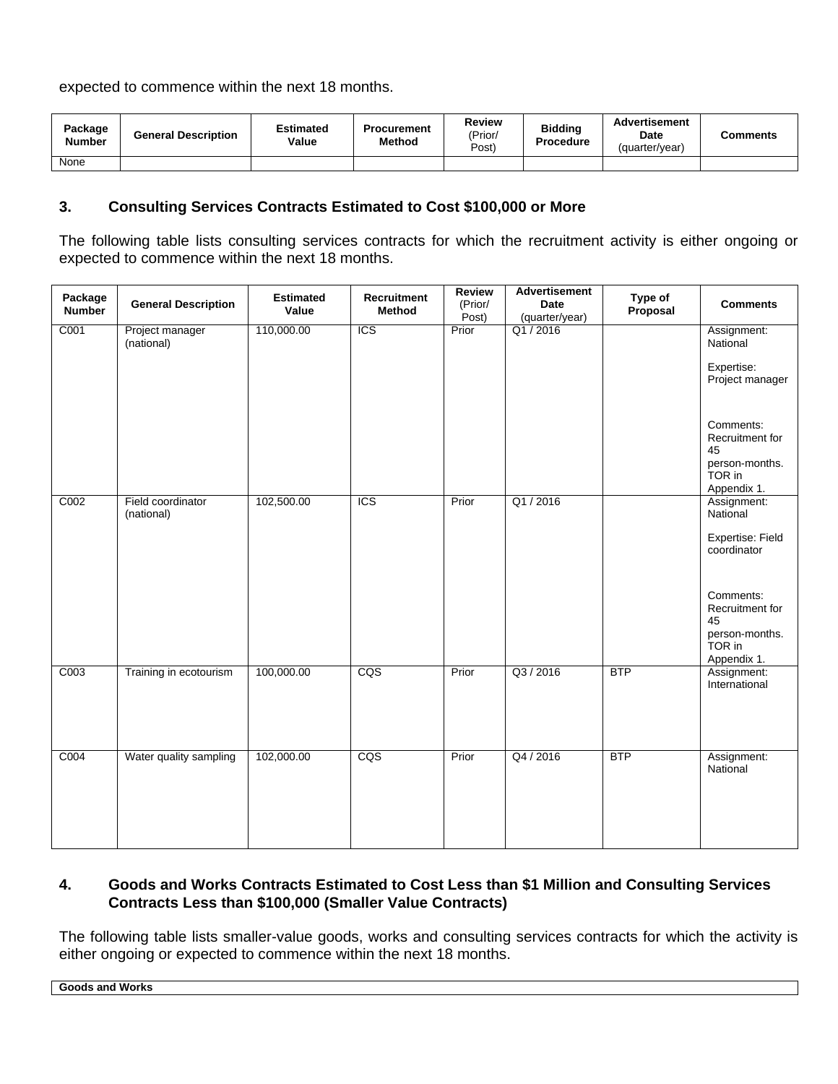expected to commence within the next 18 months.

| Package<br><b>Number</b> | <b>General Description</b> | Estimated<br>Value | <b>Procurement</b><br>Method | Review<br>'Prior/<br>Post) | <b>Biddina</b><br>Procedure | <b>Advertisement</b><br><b>Date</b><br>(quarter/year) | Comments |
|--------------------------|----------------------------|--------------------|------------------------------|----------------------------|-----------------------------|-------------------------------------------------------|----------|
| None                     |                            |                    |                              |                            |                             |                                                       |          |

## **3. Consulting Services Contracts Estimated to Cost \$100,000 or More**

The following table lists consulting services contracts for which the recruitment activity is either ongoing or expected to commence within the next 18 months.

| Package<br><b>Number</b> | <b>General Description</b>      | <b>Estimated</b><br>Value | Recruitment<br><b>Method</b> | <b>Review</b><br>(Prior/<br>Post) | Advertisement<br><b>Date</b><br>(quarter/year) | Type of<br>Proposal | <b>Comments</b>                                                               |
|--------------------------|---------------------------------|---------------------------|------------------------------|-----------------------------------|------------------------------------------------|---------------------|-------------------------------------------------------------------------------|
| C001                     | Project manager<br>(national)   | 110,000.00                | <b>ICS</b>                   | Prior                             | Q1/2016                                        |                     | Assignment:<br>National                                                       |
|                          |                                 |                           |                              |                                   |                                                |                     | Expertise:<br>Project manager                                                 |
|                          |                                 |                           |                              |                                   |                                                |                     | Comments:<br>Recruitment for<br>45<br>person-months.                          |
|                          |                                 |                           |                              |                                   |                                                |                     | TOR in<br>Appendix 1.                                                         |
| C002                     | Field coordinator<br>(national) | 102,500.00                | <b>ICS</b>                   | Prior                             | Q1/2016                                        |                     | Assignment:<br>National                                                       |
|                          |                                 |                           |                              |                                   |                                                |                     | Expertise: Field<br>coordinator                                               |
|                          |                                 |                           |                              |                                   |                                                |                     | Comments:<br>Recruitment for<br>45<br>person-months.<br>TOR in<br>Appendix 1. |
| C003                     | Training in ecotourism          | 100,000.00                | CQS                          | Prior                             | Q3 / 2016                                      | <b>BTP</b>          | Assignment:<br>International                                                  |
| C004                     | Water quality sampling          | 102,000.00                | $\overline{CQS}$             | Prior                             | Q4 / 2016                                      | <b>BTP</b>          | Assignment:<br>National                                                       |

## **4. Goods and Works Contracts Estimated to Cost Less than \$1 Million and Consulting Services Contracts Less than \$100,000 (Smaller Value Contracts)**

The following table lists smaller-value goods, works and consulting services contracts for which the activity is either ongoing or expected to commence within the next 18 months.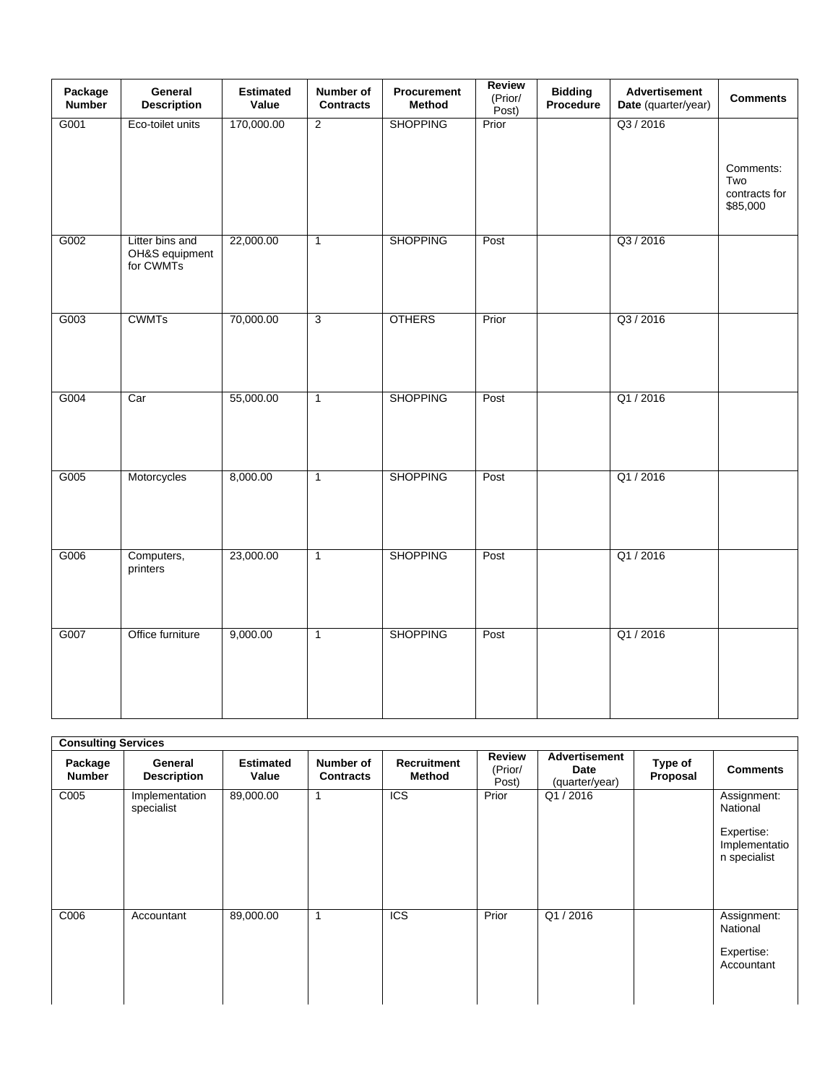| Package<br><b>Number</b> | General<br><b>Description</b>                  | <b>Estimated</b><br>Value | Number of<br><b>Contracts</b> | Procurement<br>Method | Review<br>(Prior/<br>Post) | <b>Bidding</b><br>Procedure | <b>Advertisement</b><br>Date (quarter/year) | <b>Comments</b>                               |
|--------------------------|------------------------------------------------|---------------------------|-------------------------------|-----------------------|----------------------------|-----------------------------|---------------------------------------------|-----------------------------------------------|
| G001                     | Eco-toilet units                               | 170,000.00                | $\overline{2}$                | <b>SHOPPING</b>       | Prior                      |                             | Q3 / 2016                                   | Comments:<br>Two<br>contracts for<br>\$85,000 |
| G002                     | Litter bins and<br>OH&S equipment<br>for CWMTs | 22,000.00                 | $\overline{1}$                | <b>SHOPPING</b>       | Post                       |                             | Q3 / 2016                                   |                                               |
| G003                     | <b>CWMTs</b>                                   | 70,000.00                 | $\overline{3}$                | <b>OTHERS</b>         | Prior                      |                             | Q3 / 2016                                   |                                               |
| G004                     | Car                                            | 55,000.00                 | $\mathbf{1}$                  | <b>SHOPPING</b>       | Post                       |                             | Q1/2016                                     |                                               |
| G005                     | Motorcycles                                    | 8,000.00                  | $\overline{1}$                | <b>SHOPPING</b>       | Post                       |                             | Q1/2016                                     |                                               |
| G006                     | Computers,<br>printers                         | 23,000.00                 | $\overline{1}$                | <b>SHOPPING</b>       | Post                       |                             | Q1/2016                                     |                                               |
| G007                     | Office furniture                               | 9,000.00                  | $\mathbf{1}$                  | <b>SHOPPING</b>       | Post                       |                             | Q1/2016                                     |                                               |

| <b>Consulting Services</b> |                               |                           |                               |                              |                                   |                                                |                     |                                                                        |  |  |  |
|----------------------------|-------------------------------|---------------------------|-------------------------------|------------------------------|-----------------------------------|------------------------------------------------|---------------------|------------------------------------------------------------------------|--|--|--|
| Package<br><b>Number</b>   | General<br><b>Description</b> | <b>Estimated</b><br>Value | Number of<br><b>Contracts</b> | <b>Recruitment</b><br>Method | <b>Review</b><br>(Prior/<br>Post) | Advertisement<br><b>Date</b><br>(quarter/year) | Type of<br>Proposal | <b>Comments</b>                                                        |  |  |  |
| C005                       | Implementation<br>specialist  | 89,000.00                 |                               | <b>ICS</b>                   | Prior                             | Q1/2016                                        |                     | Assignment:<br>National<br>Expertise:<br>Implementatio<br>n specialist |  |  |  |
| C006                       | Accountant                    | 89,000.00                 | 1                             | <b>ICS</b>                   | Prior                             | Q1/2016                                        |                     | Assignment:<br>National<br>Expertise:<br>Accountant                    |  |  |  |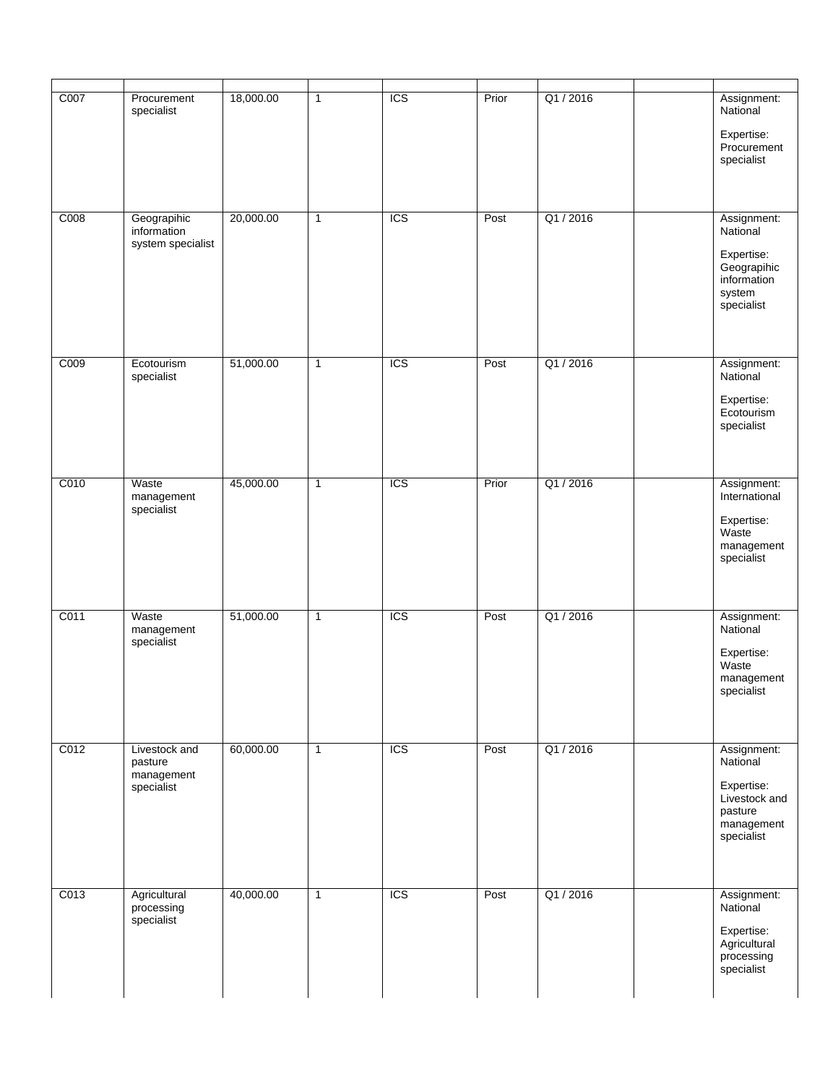| C007 | Procurement<br>specialist                            | 18,000.00 | $\mathbf{1}$ | <b>ICS</b> | Prior | Q1/2016   | Assignment:<br>National<br>Expertise:<br>Procurement<br>specialist                            |
|------|------------------------------------------------------|-----------|--------------|------------|-------|-----------|-----------------------------------------------------------------------------------------------|
| C008 | Geograpihic<br>information<br>system specialist      | 20,000.00 | $\mathbf{1}$ | <b>ICS</b> | Post  | Q1 / 2016 | Assignment:<br>National<br>Expertise:<br>Geograpihic<br>information<br>system<br>specialist   |
| C009 | Ecotourism<br>specialist                             | 51,000.00 | 1            | <b>ICS</b> | Post  | Q1/2016   | Assignment:<br>National<br>Expertise:<br>Ecotourism<br>specialist                             |
| C010 | Waste<br>management<br>specialist                    | 45,000.00 | $\mathbf{1}$ | <b>ICS</b> | Prior | Q1/2016   | Assignment:<br>International<br>Expertise:<br>Waste<br>management<br>specialist               |
| C011 | Waste<br>management<br>specialist                    | 51,000.00 | $\mathbf{1}$ | <b>ICS</b> | Post  | Q1/2016   | Assignment:<br>National<br>Expertise:<br>Waste<br>management<br>specialist                    |
| C012 | Livestock and<br>pasture<br>management<br>specialist | 60,000.00 | $\mathbf{1}$ | <b>ICS</b> | Post  | Q1/2016   | Assignment:<br>National<br>Expertise:<br>Livestock and<br>pasture<br>management<br>specialist |
| C013 | Agricultural<br>processing<br>specialist             | 40,000.00 | $\mathbf{1}$ | <b>ICS</b> | Post  | Q1/2016   | Assignment:<br>National<br>Expertise:<br>Agricultural<br>processing<br>specialist             |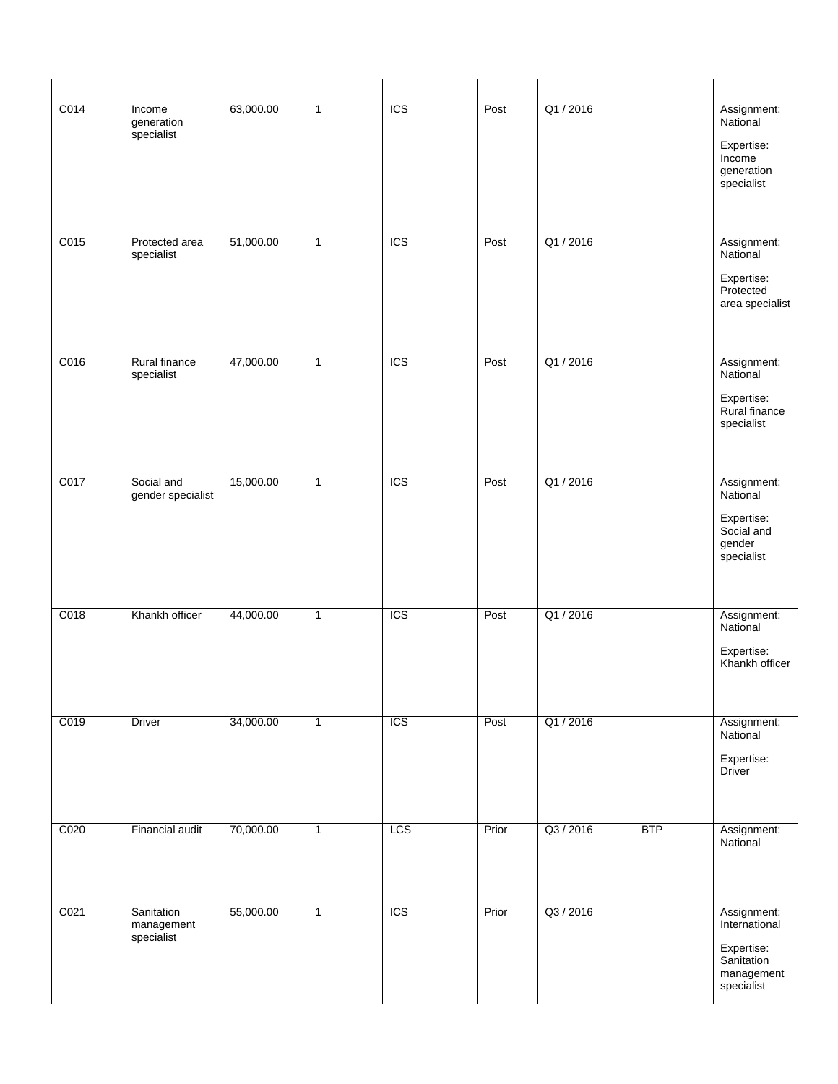| C014 | Income                                 | 63,000.00 | $\mathbf{1}$   | <b>ICS</b> | Post  | Q1/2016   |            | Assignment:                                                  |
|------|----------------------------------------|-----------|----------------|------------|-------|-----------|------------|--------------------------------------------------------------|
|      | generation<br>specialist               |           |                |            |       |           |            | National<br>Expertise:<br>Income<br>generation<br>specialist |
| C015 | Protected area<br>specialist           | 51,000.00 | $\mathbf{1}$   | <b>ICS</b> | Post  | Q1/2016   |            | Assignment:<br>National                                      |
|      |                                        |           |                |            |       |           |            | Expertise:<br>Protected<br>area specialist                   |
| C016 | Rural finance<br>specialist            | 47,000.00 | $\overline{1}$ | <b>ICS</b> | Post  | Q1/2016   |            | Assignment:<br>National                                      |
|      |                                        |           |                |            |       |           |            | Expertise:<br>Rural finance<br>specialist                    |
| C017 | Social and<br>gender specialist        | 15,000.00 | $\mathbf{1}$   | <b>ICS</b> | Post  | Q1/2016   |            | Assignment:<br>National                                      |
|      |                                        |           |                |            |       |           |            | Expertise:<br>Social and<br>gender<br>specialist             |
| C018 | Khankh officer                         | 44,000.00 | $\mathbf{1}$   | ICS        | Post  | Q1/2016   |            | Assignment:<br>National                                      |
|      |                                        |           |                |            |       |           |            | Expertise:<br>Khankh officer                                 |
| C019 | Driver                                 | 34,000.00 | $\mathbf{1}$   | <b>ICS</b> | Post  | Q1/2016   |            | Assignment:<br>National                                      |
|      |                                        |           |                |            |       |           |            | Expertise:<br><b>Driver</b>                                  |
| C020 | Financial audit                        | 70,000.00 | $\mathbf{1}$   | LCS        | Prior | Q3 / 2016 | <b>BTP</b> | Assignment:<br>National                                      |
|      |                                        |           |                |            |       |           |            |                                                              |
| C021 | Sanitation<br>management<br>specialist | 55,000.00 | $\mathbf{1}$   | <b>ICS</b> | Prior | Q3 / 2016 |            | Assignment:<br>International                                 |
|      |                                        |           |                |            |       |           |            | Expertise:<br>Sanitation<br>management<br>specialist         |